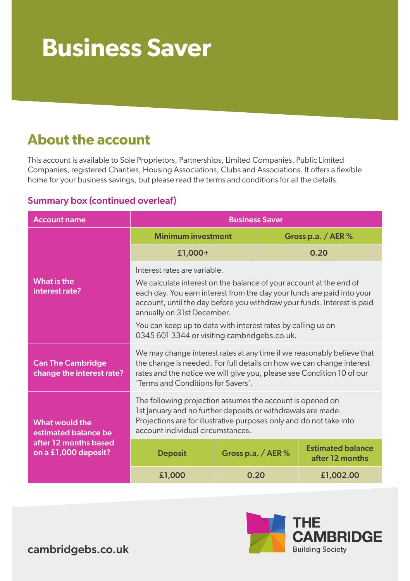# **Business Saver**

### **About the account**

This account is available to Sole Proprietors, Partnerships, Limited Companies, Public Limited Companies, registered Charities, Housing Associations, Clubs and Associations. It offers a flexible home for your business savings, but please read the terms and conditions for all the details.

### Summary box (continued overleaf)

| <b>Account name</b>                                                                            | <b>Business Saver</b>                                                                                                                                                                                                                                                                                                                                                                                 |                      |  |                                             |
|------------------------------------------------------------------------------------------------|-------------------------------------------------------------------------------------------------------------------------------------------------------------------------------------------------------------------------------------------------------------------------------------------------------------------------------------------------------------------------------------------------------|----------------------|--|---------------------------------------------|
| What is the<br>interest rate?                                                                  | <b>Minimum investment</b>                                                                                                                                                                                                                                                                                                                                                                             |                      |  | Gross p.a. / $AER$ %                        |
|                                                                                                | £1,000+                                                                                                                                                                                                                                                                                                                                                                                               |                      |  | 0.20                                        |
|                                                                                                | Interest rates are variable.<br>We calculate interest on the balance of your account at the end of<br>each day. You earn interest from the day your funds are paid into your<br>account, until the day before you withdraw your funds. Interest is paid<br>annually on 31st December.<br>You can keep up to date with interest rates by calling us on<br>0345 601 3344 or visiting cambridgebs.co.uk. |                      |  |                                             |
| <b>Can The Cambridge</b><br>change the interest rate?                                          | We may change interest rates at any time if we reasonably believe that<br>the change is needed. For full details on how we can change interest<br>rates and the notice we will give you, please see Condition 10 of our<br>'Terms and Conditions for Savers'.                                                                                                                                         |                      |  |                                             |
| <b>What would the</b><br>estimated balance be<br>after 12 months based<br>on a £1,000 deposit? | The following projection assumes the account is opened on<br>1st January and no further deposits or withdrawals are made.<br>Projections are for illustrative purposes only and do not take into<br>account individual circumstances.                                                                                                                                                                 |                      |  |                                             |
|                                                                                                | <b>Deposit</b>                                                                                                                                                                                                                                                                                                                                                                                        | Gross p.a. / AER $%$ |  | <b>Estimated balance</b><br>after 12 months |
|                                                                                                | £1,000                                                                                                                                                                                                                                                                                                                                                                                                | 0.20                 |  | £1,002.00                                   |



cambridgebs.co.uk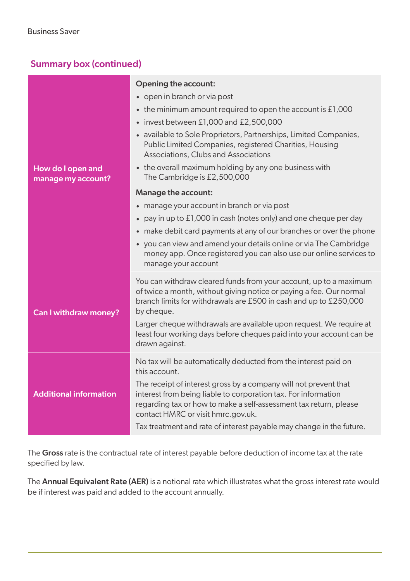### Summary box (continued)

|                                         | <b>Opening the account:</b>                                                                                                                                                                                                                   |  |  |  |
|-----------------------------------------|-----------------------------------------------------------------------------------------------------------------------------------------------------------------------------------------------------------------------------------------------|--|--|--|
|                                         | • open in branch or via post                                                                                                                                                                                                                  |  |  |  |
|                                         | • the minimum amount required to open the account is £1,000                                                                                                                                                                                   |  |  |  |
|                                         | $\bullet$ invest between £1,000 and £2,500,000                                                                                                                                                                                                |  |  |  |
|                                         | • available to Sole Proprietors, Partnerships, Limited Companies,<br>Public Limited Companies, registered Charities, Housing<br>Associations, Clubs and Associations                                                                          |  |  |  |
| How do I open and<br>manage my account? | • the overall maximum holding by any one business with<br>The Cambridge is £2,500,000                                                                                                                                                         |  |  |  |
|                                         | Manage the account:                                                                                                                                                                                                                           |  |  |  |
|                                         | • manage your account in branch or via post                                                                                                                                                                                                   |  |  |  |
|                                         | pay in up to £1,000 in cash (notes only) and one cheque per day<br>٠                                                                                                                                                                          |  |  |  |
|                                         | • make debit card payments at any of our branches or over the phone                                                                                                                                                                           |  |  |  |
|                                         | • you can view and amend your details online or via The Cambridge<br>money app. Once registered you can also use our online services to<br>manage your account                                                                                |  |  |  |
| Can I withdraw money?                   | You can withdraw cleared funds from your account, up to a maximum<br>of twice a month, without giving notice or paying a fee. Our normal<br>branch limits for withdrawals are £500 in cash and up to £250,000<br>by cheque.                   |  |  |  |
|                                         | Larger cheque withdrawals are available upon request. We require at<br>least four working days before cheques paid into your account can be<br>drawn against.                                                                                 |  |  |  |
| <b>Additional information</b>           | No tax will be automatically deducted from the interest paid on<br>this account.                                                                                                                                                              |  |  |  |
|                                         | The receipt of interest gross by a company will not prevent that<br>interest from being liable to corporation tax. For information<br>regarding tax or how to make a self-assessment tax return, please<br>contact HMRC or visit hmrc.gov.uk. |  |  |  |
|                                         | Tax treatment and rate of interest payable may change in the future.                                                                                                                                                                          |  |  |  |

The Gross rate is the contractual rate of interest payable before deduction of income tax at the rate specified by law.

The Annual Equivalent Rate (AER) is a notional rate which illustrates what the gross interest rate would be if interest was paid and added to the account annually.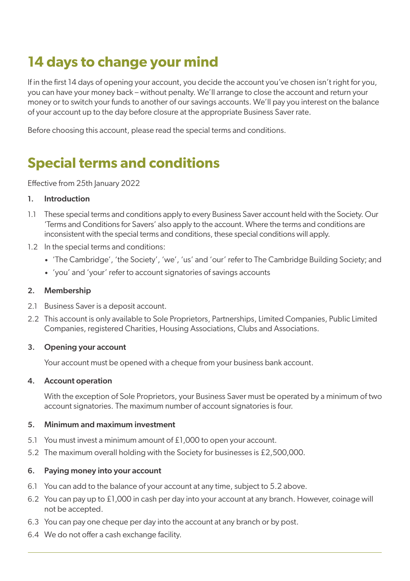# **14 days to change your mind**

If in the first 14 days of opening your account, you decide the account you've chosen isn't right for you, you can have your money back – without penalty. We'll arrange to close the account and return your money or to switch your funds to another of our savings accounts. We'll pay you interest on the balance of your account up to the day before closure at the appropriate Business Saver rate.

Before choosing this account, please read the special terms and conditions.

## **Special terms and conditions**

Effective from 25th January 2022

#### 1. Introduction

- 1.1 These special terms and conditions apply to every Business Saver account held with the Society. Our 'Terms and Conditions for Savers' also apply to the account. Where the terms and conditions are inconsistent with the special terms and conditions, these special conditions will apply.
- 1.2 In the special terms and conditions:
	- 'The Cambridge', 'the Society', 'we', 'us' and 'our' refer to The Cambridge Building Society; and
	- 'you' and 'your' refer to account signatories of savings accounts

#### 2. Membership

- 2.1 Business Saver is a deposit account.
- 2.2 This account is only available to Sole Proprietors, Partnerships, Limited Companies, Public Limited Companies, registered Charities, Housing Associations, Clubs and Associations.

#### 3. Opening your account

Your account must be opened with a cheque from your business bank account.

#### 4. Account operation

With the exception of Sole Proprietors, your Business Saver must be operated by a minimum of two account signatories. The maximum number of account signatories is four.

#### 5. Minimum and maximum investment

- 5.1 You must invest a minimum amount of £1,000 to open your account.
- 5.2 The maximum overall holding with the Society for businesses is £2,500,000.

#### 6. Paying money into your account

- 6.1 You can add to the balance of your account at any time, subject to 5.2 above.
- 6.2 You can pay up to £1,000 in cash per day into your account at any branch. However, coinage will not be accepted.
- 6.3 You can pay one cheque per day into the account at any branch or by post.
- 6.4 We do not offer a cash exchange facility.